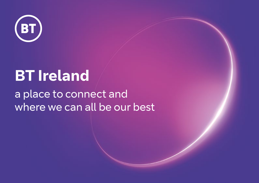

# **BT Ireland**

## a place to connect and where we can all be our best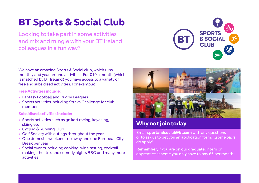## **BT Sports & Social Club**

Looking to take part in some activities and mix and mingle with your BT Ireland colleagues in a fun way?



We have an amazing Sports & Social club, which runs monthly and year around activities. For €10 a month (which is matched by BT Ireland) you have access to a variety of free and subsidised activities. For example:

### **Free Activities include:**

- **•** Fantasy Football and Rugby Leagues
- **•** Sports activities including Strava Challenge for club members

### **Subsidised activities include:**

- **•** Sports activities such as go kart racing, kayaking, skiing etc
- **•** Cycling & Running Club
- **•** Golf Society with outings throughout the year
- **•** One domestic weekend trip away and one European City Break per year
- **•** Social events including cooking. wine tasting, cocktail making, theatre, and comedy nights BBQ and many more activities



### **Why not join today**

Email **sportandsocial@bt.com** with any questions or to ask us to get you an application form….some t&c's do apply!

**Remember**, if you are on our graduate, intern or apprentice scheme you only have to pay €5 per month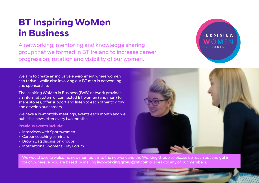### **BT Inspiring WoMen in Business**

A networking, mentoring and knowledge sharing group that we formed in BT Ireland to increase career progression, rotation and visibility of our women.

We aim to create an inclusive environment where women can thrive – while also involving our BT men in networking and sponsorship.

The Inspiring WoMen in Business (IWB) network provides an informal system of connected BT women (and men) to share stories, offer support and listen to each other to grow and develop our careers.

We have a bi-monthly meetings, events each month and we publish a newsletter every two months.

#### **Previous events include:**

- **•** Interviews with Sportswomen
- **•** Career coaching seminars
- **•** Brown Bag discussion groups
- **•** International Womens' Day Forum





We would love to welcome new members into the network and the Working Group so please do reach out and get in touch, wherever you are based by mailing **iwb.working.group@bt.com** or speak to any of our members.

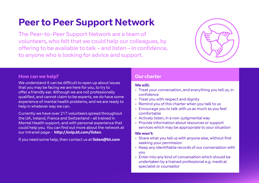## **Peer to Peer Support Network**

The Peer-to-Peer Support Network are a team of volunteers, who felt that we could help our colleagues, by offering to be available to talk – and listen – in confidence, to anyone who is looking for advice and support.



### **How can we help?**

We understand it can be difficult to open up about issues that you may be facing we are here for you, to try to offer a friendly ear. Although we are not professionally qualified, and cannot claim to be experts, we do have some experience of mental health problems, and we are ready to help in whatever way we can.

Currently we have over 217 volunteers spread throughout the UK, Ireland, France and Switzerland – all trained in Mental Health support, and with personal experience that could help you. You can find out more about the network at our intranet page - **http://snip.bt.com/listen**.

If you need some help, then contact us at **listen@bt.com**

### **Our charter**

### **We will:**

- Treat your conversation, and everything you tell us, in confidence
- Treat you with respect and dignity
- Remind you of this charter when you talk to us
- Encourage you to talk with us as much as you feel comfortable
- Actively listen, in a non-judgmental way
- Provide information about resources or support services which may be appropriate to your situation

### **We won't:**

- Share what you tell us with anyone else, without first seeking your permission
- Keep any identifiable records of our conversation with you
- Enter into any kind of conversation which should be undertaken by a trained professional e.g. medical specialist or counsellor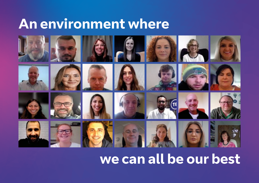## **An environment where**



## **we can all be our best**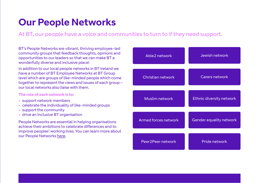## **Our People Networks**

At BT, our people have a voice and communities to turn to if they need support.

BT's People Networks are vibrant, thriving employee-led community groups that feedback thoughts, opinions and opportunities to our leaders so that we can make BT a wonderfully diverse and inclusive place!

In addition to our local people networks in BT Ireland we have a number of BT Employee Networks at BT Group level which are groups of like-minded people which come together to represent the views and issues of each group – our local networks also liaise with them.

#### **The role of each network is to:**

- **•** support network members
- **•** celebrate the individuality of like-minded groups
- **•** support the community
- **•** drive an Inclusive BT organisation

People Networks are essential in helping organisations achieve their ambitions to celebrate differences and to improve peoples' working lives. You can learn more about our People Networks [here.](https://myprofile.bt.com/academy/subject/diversity/Pages/BT/bt-people-networks-new-2018.aspx)

| Able2 network        | Jewish network                  |
|----------------------|---------------------------------|
| Christian network    | Carers network                  |
| Muslim network       | <b>Ethnic diversity network</b> |
| Armed forces network | Gender equality network         |
| Peer2Peer network    | Pride network                   |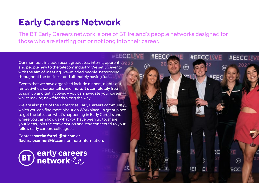## **Early Careers Network**

The BT Early Careers network is one of BT Ireland's people networks designed for those who are starting out or not long into their career.

**#EECCLIVE** 

 $#EEC$ 

⋒

**#EECCLIVE** 

**#EEC** 

(BT)

**EF** 

#EECCLIVI

/E

 $(5)$ 

ECC

Our members include recent graduates, interns, apprentices and people new to the telecom industry. We set up events with the aim of meeting like-minded people, networking throughout the business and ultimately having fun!

Events that we have organised include dinners, nights out, fun activities, career talks and more. It's completely free to sign up and get involved – you can navigate your career whilst making new friends along the way.

We are also part of the Enterprise Early Careers community which you can find more about on Workplace – a great place to get the latest on what's happening in Early Careers and where you can show us what you have been up to, share your ideas, join the conversation and stay connected to your fellow early careers colleagues.

Contact **sorcha.farrell@bt.com** or **fiachra.oconnor@bt.com** for more information.

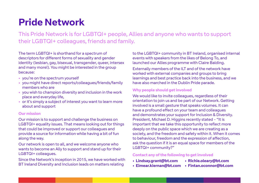## **Pride Network**

This Pride Network is for LGBTQI+ people, Allies and anyone who wants to support their LGBTQI+ colleagues, friends and family.

The term LGBTQI+ is shorthand for a spectrum of descriptors for different forms of sexuality and gender identity (lesbian, gay, bisexual, transgender, queer, intersex and many more!). You might be interested in the group because:

- **•** you're on the spectrum yourself
- **•** you might have direct reports/colleagues/friends/family members who are
- **•** you wish to champion diversity and inclusion in the work place and everyday life,
- **•** or it's simply a subject of interest you want to learn more about and support

#### **Our mission**

Our mission is to support and challenge the business on LGBTQI+ equality issues. That means looking out for things that could be improved or support our colleagues and provide a source for information while having a bit of fun along the way.

Our network is open to all, and we welcome anyone who wants to become an Ally to support and stand up for their LGBTQI+ colleagues.

Since the Network's inception in 2015, we have worked with BT Ireland Diversity and Inclusion leads on matters relating

to the LGBTQI+ community in BT Ireland, organised internal events with speakers from the likes of Belong To, and launched our Allies programme with Claire Balding.

Externally members of the ILT and of the network have worked with external companies and groups to bring learnings and best practice back into the business, and we have also marched in the Dublin Pride parade.

### **Why people should get involved**

We would like to invite colleagues, regardless of their orientation to join us and be part of our Network. Getting involved is a small gesture that speaks volumes. It can have a profound effect on your team and colleagues and demonstrates your support for Inclusion & Diversity. President, Michael D. Higgins recently stated - "It is important that we take this opportunity to reflect more deeply on the public space which we are creating as a society, and the freedom and safety within it. When it comes to behaviour, freedom and the expression of affection, ask the question if it is an equal space for members of the LGBTQI+ community?"

### **Contact any of the following to get involved**

- **Lindsay.grant@bt.com Richie.oleary@bt.com** 
	-
- 
- **Eimear.kiernan@bt.com Fintan.oconnor@bt.com**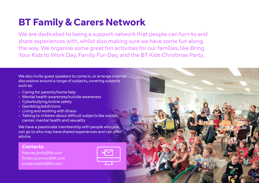## **BT Family & Carers Network**

We are dedicated to being a support network that people can turn to and share experiences with, whilst also making sure we have some fun along the way. We organise some great fun activities for our families, like Bring Your Kids to Work Day, Family Fun Day, and the BT Kids Christmas Party.

We also invite guest speakers to come in, or arrange internal discussions around a range of subjects, covering subjects such as:

- **•** Caring for parents/home help
- **•** Mental health awareness/suicide awareness
- **•** Cyberbullying/online safety
- **•** Gambling/addictions
- **•** Living and working with illness
- **•** Talking to children about difficult subjects like suicide, cancer, mental health and sexuality

We have a passionate membership with people who you can go to who may have shared experiences and can offer advice.

### **Contacts:**

frances.jenks@bt.com fintan.oconnor@bt.com louise.coates@bt.com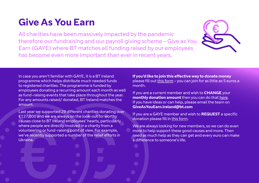## **Give As You Earn**

All charities have been massively impacted by the pandemic therefore our fundraising and our payroll giving scheme – Give as You Earn (GAYE) where BT matches all funding raised by our employees has become even more important than ever in recent years.



In case you aren't familiar with GAYE, it is a BT Ireland programme which helps distribute much needed funds to registered charities. The programme is funded by employees donating a recurring amount each month as well as fund-raising events that take place throughout the year. For any amounts raised/ donated, BT Ireland matches the amount.

Last year we supported 29 different charities donating over €127,000 and we are always on the look-out for worthy causes close to BT Ireland employees' hearts, particularly where people are directly involved in a charity from a volunteering or fund-raising point of view. For example, we've recently supported a number of the relief efforts in Ukraine.

**If you'd like to join this effective way to donate money**  please fill out [this form](https://forms.office.com/Pages/ResponsePage.aspx?id=iFbzpwCcXk26QSnxRjd6sIzPcrjwhQ9FvWRBFYhGWwBUNThTN0YzQU9HMDVJOVpOUkNOTDY4SFI3NCQlQCN0PWcu) – you can join for as little as 5 euros a month.

If you are a current member and wish to **CHANGE** your **monthly donation amount** then you can do that [here](https://forms.office.com/Pages/ResponsePage.aspx?id=iFbzpwCcXk26QSnxRjd6sIzPcrjwhQ9FvWRBFYhGWwBUNThTN0YzQU9HMDVJOVpOUkNOTDY4SFI3NCQlQCN0PWcu). If you have ideas or can help, please email the team on **GiveAsYouEarn.Ireland@bt.com**

If you are a GAYE member and wish to **REQUEST** a specific donation please fill in [this form](https://forms.office.com/Pages/ResponsePage.aspx?id=iFbzpwCcXk26QSnxRjd6sIzPcrjwhQ9FvWRBFYhGWwBUNEk0SVVLSjY5VFNSVVJPUTZEVEtCNUNCMiQlQCN0PWcu).

We are always looking for new members, so we can do even more to help support these good causes and more. Then need as much help as they can get and every euro can make a difference to someone's life.